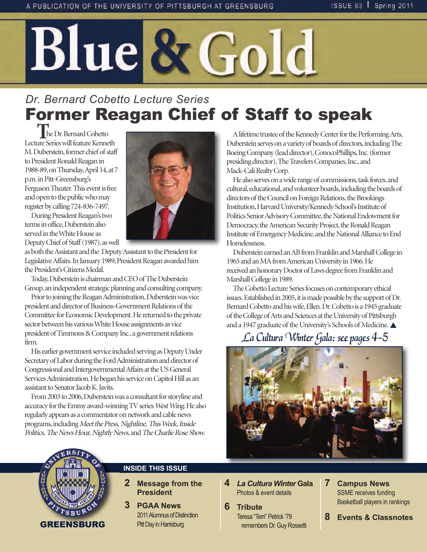

# *Dr. Bernard Cobetto Lecture Series* Former Reagan Chief of Staff to speak

 **T**he Dr. Bernard Cobetto Lecture Series will feature Kenneth M. Duberstein, former chief of staff to President Ronald Reagan in 1988-89, on Thursday, April 14, at 7 p.m. in Pitt-Greensburg's Ferguson Theater. This event is free and open to the public who may register by calling 724-836-7497.



During President Reagan's two terms in office, Duberstein also served in the White House as Deputy Chief of Staff (1987), as well

as both the Assistant and the Deputy Assistant to the President for Legislative Affairs. In January 1989, President Reagan awarded him the President's Citizens Medal.

Today, Duberstein is chairman and CEO of The Duberstein Group, an independent strategic planning and consulting company.

Prior to joining the Reagan Administration, Duberstein was vice president and director of Business-Government Relations of the Committee for Economic Development. He returned to the private sector between his various White House assignments as vice president of Timmons & Company Inc., a government relations firm.

His earlier government service included serving as Deputy Under Secretary of Labor during the Ford Administration and director of Congressional and Intergovernmental Affairs at the US General Services Administration. He began his service on Capitol Hill as an assistant to Senator Jacob K. Javits.

From 2003 to 2006, Duberstein was a consultant for storyline and accuracy for the Emmy award-winning TV series West Wing. He also regularly appears as a commentator on network and cable news programs, including Meet the Press, Nightline, This Week, Inside Politics, The News Hour, Nightly News, and The Charlie Rose Show.

A lifetime trustee of the Kennedy Center for the Performing Arts, Duberstein serves on a variety of boards of directors, including The Boeing Company (lead director), ConocoPhillips, Inc. (former presiding director), The Travelers Companies, Inc., and Mack-Cali Realty Corp.

He also serves on a wide range of commissions, task forces, and cultural, educational, and volunteer boards, including the boards of directors of the Council on Foreign Relations, the Brookings Institution, Harvard University/Kennedy School's Institute of Politics Senior Advisory Committee, the National Endowment for Democracy, the American Security Project, the Ronald Reagan Institute of Emergency Medicine, and the National Alliance to End Homelessness.

Duberstein earned an AB from Franklin and Marshall College in 1965 and an MA from American University in 1966. He received an honorary Doctor of Laws degree from Franklin and Marshall College in 1989.

The Cobetto Lecture Series focuses on contemporary ethical issues. Established in 2005, it is made possible by the support of Dr. Bernard Cobetto and his wife, Ellen. Dr. Cobetto is a 1945 graduate of the College of Arts and Sciences at the University of Pittsburgh and a 1947 graduate of the University's Schools of Medicine.

## La Cultura Winter Gala: see pages 4-5





#### **INSIDE THIS ISSUE**

- **2 Message from the President**
- **3 PGAA News** 2011 alumnus of Distinction Pitt Day in Harrisburg
- **4** *La Cultura Winter* **Gala Photos & event details**
- **6 Tribute Teresa "Terri" Petrick '79** remembers Dr. Guy Rossetti
- **7 Campus News SSME** receives funding **Basketball players in rankings**
- **8 Events & Classnotes**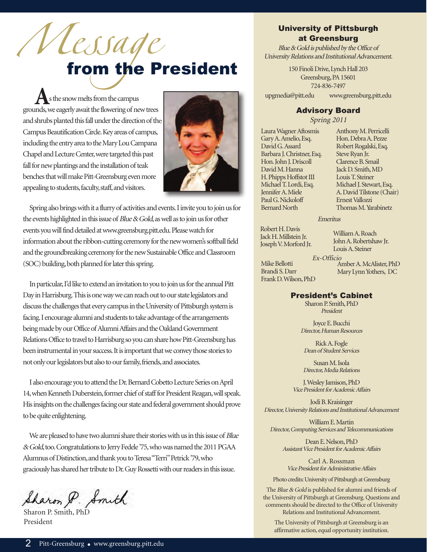# *lessage*<br>from the President

 **A**s the snow melts from the campus grounds, we eagerly await the flowering of new trees and shrubs planted this fall under the direction of the Campus Beautification Circle. Key areas of campus, including the entry area to the Mary Lou Campana Chapel and Lecture Center, were targeted this past fall for new plantings and the installation of teak benches that will make Pitt-Greensburg even more appealing to students, faculty, staff, and visitors.



Spring also brings with it a flurry of activities and events. I invite you to join us for the events highlighted in this issue of Blue & Gold, as well as to join us for other events you will find detailed at www.greensburg.pitt.edu. Please watch for information about the ribbon-cutting ceremony for the new women's softball field and the groundbreaking ceremony for the new Sustainable Office and Classroom (SOC) building, both planned for later this spring.

In particular, I'd like to extend an invitation to you to join us for the annual Pitt Day in Harrisburg. This is one way we can reach out to our state legislators and discuss the challenges that every campus in the University of Pittsburgh system is facing. I encourage alumni and students to take advantage of the arrangements being made by our Office of Alumni Affairs and the Oakland Government Relations Office to travel to Harrisburg so you can share how Pitt-Greensburg has been instrumental in your success. It is important that we convey those stories to not only our legislators but also to our family, friends, and associates.

I also encourage you to attend the Dr. Bernard Cobetto Lecture Series on April 14, when Kenneth Duberstein, former chief of staff for President Reagan, will speak. His insights on the challenges facing our state and federal government should prove to be quite enlightening.

We are pleased to have two alumni share their stories with us in this issue of Blue & Gold, too. Congratulations to Jerry Fedele '75, who was named the 2011 PGAA Alumnus of Distinction, and thank you to Teresa "Terri" Petrick '79, who graciously has shared her tribute to Dr. Guy Rossetti with our readers in this issue.

Sharon P. Smith

Sharon P. Smith, PhD President

#### University of Pittsburgh at Greensburg

Blue & Gold is published by the Office of University Relations and Institutional Advancement.

> 150 Finoli Drive, Lynch Hall 203 Greensburg, PA 15601 724-836-7497

upgmedia@pitt.edu www.greensburg.pitt.edu

#### Advisory Board

Spring 2011

Laura Wagner Aftosmis Gary A. Amelio, Esq. David G. Assard Barbara J. Christner, Esq. Hon. John J. Driscoll David M. Hanna H. Phipps Hoffstot III Michael T. Lordi, Esq. Jennifer A. Miele Paul G. Nickoloff Bernard North

Anthony M. Perricelli Hon. Debra A. Pezze Robert Rogalski, Esq. Steve Ryan Jr. Clarence B. Smail Jack D. Smith, MD Louis T. Steiner Michael J. Stewart, Esq. A. David Tilstone (Chair) Ernest Vallozzi Thomas M. Yarabinetz

Emeritus

Robert H. Davis Jack H. Millstein Jr. Joseph V. Morford Jr.

William A. Roach John A. Robertshaw Jr. Louis A. Steiner

Mike Bellotti Brandi S. Darr Frank D. Wilson, PhD

Ex-Officio Amber A. McAlister, PhD Mary Lynn Yothers, DC

#### President's Cabinet

Sharon P. Smith, PhD President

Joyce E. Bucchi Director, Human Resources

Rick A. Fogle Dean of Student Services

Susan M. Isola Director, Media Relations

J. Wesley Jamison, PhD Vice President for Academic Affairs

Jodi B. Kraisinger Director, University Relations and Institutional Advancement

William E. Martin Director, Computing Services and Telecommunications

> Dean E. Nelson, PhD Assistant Vice President for Academic Affairs

Carl A. Rossman Vice President for Administrative Affairs

Photo credits: University of Pittsburgh at Greensburg

The Blue & Gold is published for alumni and friends of the University of Pittsburgh at Greensburg. Questions and comments should be directed to the Office of University Relations and Institutional Advancement.

The University of Pittsburgh at Greensburg is an affirmative action, equal opportunity institution.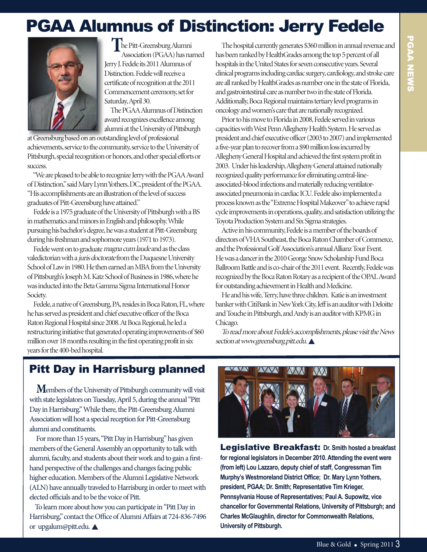# PGAA Alumnus of Distinction: Jerry Fedele



**T**he Pitt-Greensburg Alumni Association (PGAA) has named Jerry J. Fedele its 2011 Alumnus of Distinction. Fedele will receive a certificate of recognition at the 2011 Commencement ceremony, set for Saturday, April 30.

The PGAA Alumnus of Distinction award recognizes excellence among alumni at the University of Pittsburgh

at Greensburg based on an outstanding level of professional achievements, service to the community, service to the University of Pittsburgh, special recognition or honors, and other special efforts or success.

"We are pleased to be able to recognize Jerry with the PGAA Award of Distinction," said Mary Lynn Yothers, DC, president of the PGAA. "His accomplishments are an illustration of the level of success graduates of Pitt-Greensburg have attained."

Fedele is a 1975 graduate of the University of Pittsburgh with a BS in mathematics and minors in English and philosophy. While pursuing his bachelor's degree, he was a student at Pitt-Greensburg during his freshman and sophomore years (1971 to 1973).

Fedele went on to graduate magna cum laude and as the class valedictorian with a juris doctorate from the Duquesne University School of Law in 1980. He then earned an MBA from the University of Pittsburgh's Joseph M. Katz School of Business in 1986, where he was inducted into the Beta Gamma Sigma International Honor Society.

Fedele, a native of Greensburg, PA, resides in Boca Raton, FL, where he has served as president and chief executive officer of the Boca Raton Regional Hospital since 2008. At Boca Regional, he led a restructuring initiative that generated operating improvements of \$60 million over 18 months resulting in the first operating profit in six years for the 400-bed hospital.

The hospital currently generates \$360 million in annual revenue and has been ranked by HealthGrades among the top 5 percent of all hospitals in the United States for seven consecutive years. Several clinical programs including cardiac surgery, cardiology, and stroke care are all ranked by HealthGrades as number one in the state of Florida, and gastrointestinal care as number two in the state of Florida. Additionally, Boca Regional maintains tertiary level programs in oncology and women's care that are nationally recognized.

Prior to his move to Florida in 2008, Fedele served in various capacities with West Penn Allegheny Health System. He served as president and chief executive officer (2003 to 2007) and implemented a five-year plan to recover from a \$90 million loss incurred by Allegheny General Hospital and achieved the first system profit in 2003. Under his leadership, Allegheny General attained nationally recognized quality performance for eliminating central-lineassociated-blood infections and materially reducing ventilatorassociated pneumonia in cardiac ICU. Fedele also implemented a process known as the "Extreme Hospital Makeover" to achieve rapid cycle improvements in operations, quality, and satisfaction utilizing the Toyota Production System and Six Sigma strategies.

Active in his community, Fedele is a member of the boards of directors of VHA Southeast, the Boca Raton Chamber of Commerce, and the Professional Golf Association's annual Allianz Tour Event. He was a dancer in the 2010 George Snow Scholarship Fund Boca Ballroom Battle and is co-chair of the 2011 event. Recently, Fedele was recognized by the Boca Raton Rotary as a recipient of the OPAL Award for outstanding achievement in Health and Medicine.

He and his wife, Terry, have three children. Katie is an investment banker with CitiBank in New York City, Jeff is an auditor with Deloitte and Touche in Pittsburgh, and Andy is an auditor with KPMG in Chicago.

To read more about Fedele's accomplishments, please visit the News section at www.greensburg.pitt.edu.

## Pitt Day in Harrisburg planned

**M**embers of the University of Pittsburgh community will visit with state legislators on Tuesday, April 5, during the annual "Pitt Day in Harrisburg." While there, the Pitt-Greensburg Alumni Association will host a special reception for Pitt-Greensburg alumni and constituents.

For more than 15 years, "Pitt Day in Harrisburg" has given members of the General Assembly an opportunity to talk with alumni, faculty, and students about their work and to gain a firsthand perspective of the challenges and changes facing public higher education. Members of the Alumni Legislative Network (ALN) have annually traveled to Harrisburg in order to meet with elected officials and to be the voice of Pitt.

To learn more about how you can participate in "Pitt Day in Harrisburg," contact the Office of Alumni Affairs at 724-836-7496 or upgalum@pitt.edu. ▲



Legislative Breakfast: **Dr. Smith hosted a breakfast for regional legislators in December 2010. Attending the event were (from left) Lou Lazzaro, deputy chief of staff, Congressman Tim Murphy's Westmoreland District Office; Dr. Mary Lynn Yothers, president, PGAA; Dr. Smith; Representative Tim Krieger, Pennsylvania House of Representatives; Paul A. Supowitz, vice chancellor for Governmental Relations, University of Pittsburgh; and Charles McGlaughlin, director for Commonwealth Relations, University of Pittsburgh.**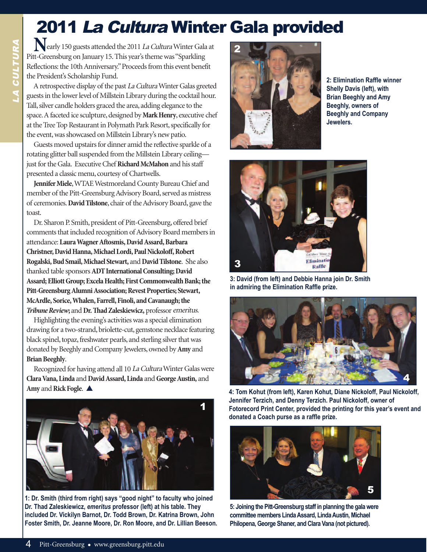# 2011 La Cultura winter Gala provided

**N**early 150 guests attended the 2011 La Cultura Winter Gala at Pitt-Greensburg on January 15. This year's theme was "Sparkling Reflections: the 10th Anniversary." Proceeds from this event benefit the President's Scholarship Fund.

A retrospective display of the past La CulturaWinter Galas greeted guests in the lower level of Millstein Library during the cocktail hour. Tall, silver candle holders graced the area, adding elegance to the space. A faceted ice sculpture, designed by **Mark Henry**, executive chef at the Tree Top Restaurant in Polymath Park Resort, specifically for the event, was showcased on Millstein Library's new patio.

Guests moved upstairs for dinner amid the reflective sparkle of a rotating glitter ball suspended from the Millstein Library ceiling just for the Gala. Executive Chef **Richard McMahon** and his staff presented a classic menu, courtesy of Chartwells.

**Jennifer Miele**, WTAE Westmoreland County Bureau Chief and member of the Pitt-Greensburg Advisory Board, served as mistress of ceremonies. **David Tilstone**, chair of the Advisory Board, gave the toast.

Dr. Sharon P. Smith, president of Pitt-Greensburg, offered brief comments that included recognition of Advisory Board members in attendance: Laura Wagner Aftosmis, David Assard, Barbara **Christner, David Hanna, Michael Lordi, Paul Nickoloff, Robert Rogalski, Bud Smail, Michael Stewart,** and **David Tilstone**. She also thanked table sponsors **ADT International Consulting; David Assard; Elliott Group; Excela Health; First Commonwealth Bank; the Pitt-Greensburg Alumni Association; Revest Properties; Stewart, McArdle, Sorice, Whalen, Farrell, Finoli, and Cavanaugh; the Tribune Review; and Dr. Thad Zaleskiewicz, professor emeritus.** 

Highlighting the evening's activities was a special elimination drawing for a two-strand, briolette-cut, gemstone necklace featuring black spinel, topaz, freshwater pearls, and sterling silver that was donated by Beeghly and Company Jewelers, owned by **Amy** and **Brian Beeghly**.

Recognized for having attend all 10 La CulturaWinter Galas were **Clara Vana, Linda** and **David Assard, Linda** and **George Austin,** and Amy and Rick Fogle.  $\triangle$ 



**1: Dr. Smith (third from right) says "good night" to faculty who joined Dr. Thad Zaleskiewicz,** *emeritus* **professor (left) at his table. They included Dr. Vickilyn Barnot, Dr. Todd Brown, Dr. Katrina Brown, John Foster Smith, Dr. Jeanne Moore, Dr. Ron Moore, and Dr. Lillian Beeson.** 



**2: Elimination Raffle winner Shelly Davis (left), with Brian Beeghly and Amy Beeghly, owners of Beeghly and Company Jewelers.**



**3: David (from left) and Debbie Hanna join Dr. Smith in admiring the Elimination Raffle prize.**



**4: Tom Kohut (from left), Karen Kohut, Diane Nickoloff, Paul Nickoloff, Jennifer Terzich, and Denny Terzich. Paul Nickoloff, owner of Fotorecord Print Center, provided the printing for this year's event and donated a Coach purse as a raffle prize.**



**5: Joining the Pitt-Greensburg staff in planning the gala were committee members Linda Assard, Linda Austin, Michael Philopena, George Shaner, and Clara Vana (not pictured).**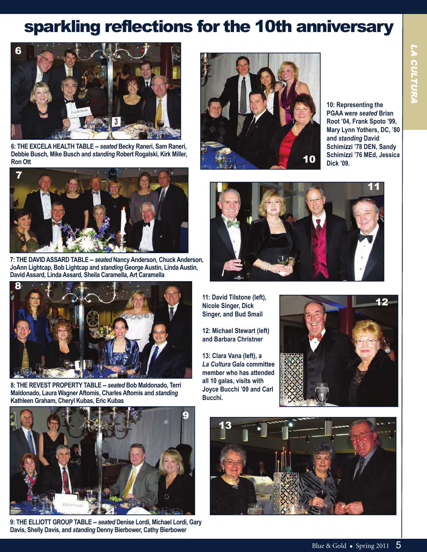# sparkling reflections for the 10th anniversary



**6: THE ExCELA HEALTH TABLE --** *seated* **Becky Raneri, Sam Raneri, Debbie Busch, Mike Busch and** *standing* **Robert Rogalski, Kirk Miller, Ron Ott**



**7: THE DAVID ASSARD TABLE --** *seated* **Nancy Anderson, Chuck Anderson, JoAnn Lightcap, Bob Lightcap and** *standing* **George Austin, Linda Austin, David Assard, Linda Assard, Sheila Caramella, Art Caramella**



**8: THE REVEST PROPERTY TABLE --** *seated* **Bob Maldonado, Terri Maldonado, Laura Wagner Aftomis, Charles Aftomis and** *standing* **Kathleen Graham, Cheryl Kubas, Eric Kubas**



**10: Representing the PGAA were** *seated* **Brian Root '04, Frank Spoto '99, Mary Lynn Yothers, DC, '80 and** *standing* **David Schimizzi '78 DEN, Sandy Schimizzi '76 MEd, Jessica Dick '09.**



**11: David Tilstone (left), Nicole Singer, Dick Singer, and Bud Smail**

**12: Michael Stewart (left) and Barbara Christner**

**13: Clara Vana (left), a**  *La Cultura* **Gala committee member who has attended all 10 galas, visits with Joyce Bucchi '09 and Carl Bucchi.**





**9: THE ELLIOTT GROUP TABLE --** *seated* **Denise Lordi, Michael Lordi, Gary Davis, Shelly Davis, and** *standing* **Denny Bierbower, Cathy Bierbower**

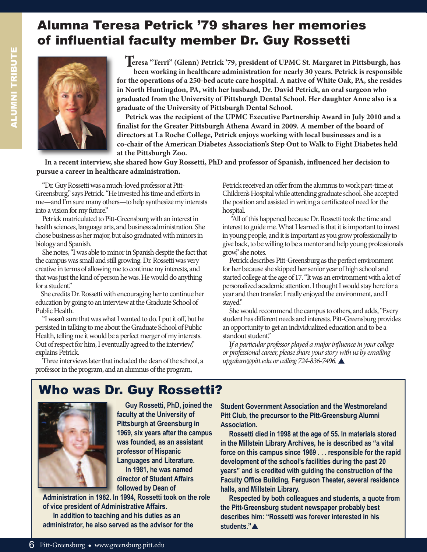## Alumna Teresa Petrick '79 shares her memories of influential faculty member Dr. Guy Rossetti



**Teresa "Terri" (Glenn) Petrick '79, president of UPMC St. Margaret in Pittsburgh, has been working in healthcare administration for nearly 30 years. Petrick is responsible for the operations of a 250-bed acute care hospital. A native of White Oak, PA, she resides in North Huntingdon, PA, with her husband, Dr. David Petrick, an oral surgeon who graduated from the University of Pittsburgh Dental School. Her daughter Anne also is a graduate of the University of Pittsburgh Dental School.** 

**Petrick was the recipient of the UPMC Executive Partnership Award in July 2010 and a finalist for the Greater Pittsburgh Athena Award in 2009. A member of the board of directors at La Roche College, Petrick enjoys working with local businesses and is a co-chair of the American Diabetes Association's Step Out to Walk to Fight Diabetes held at the Pittsburgh Zoo.**

**In a recent interview, she shared how Guy Rossetti, PhD and professor of Spanish, influenced her decision to pursue a career in healthcare administration.**

"Dr. Guy Rossetti was a much-loved professor at Pitt-Greensburg," says Petrick. "He invested his time and efforts in me—and I'm sure many others—to help synthesize my interests into a vision for my future."

Petrick matriculated to Pitt-Greensburg with an interest in health sciences, language arts, and business administration. She chose business as her major, but also graduated with minors in biology and Spanish.

She notes, "I was able to minor in Spanish despite the fact that the campus was small and still growing. Dr. Rossetti was very creative in terms of allowing me to continue my interests, and that was just the kind of person he was. He would do anything for a student."

She credits Dr. Rossetti with encouraging her to continue her education by going to an interview at the Graduate School of Public Health.

"I wasn't sure that was what I wanted to do. I put it off, but he persisted in talking to me about the Graduate School of Public Health, telling me it would be a perfect merger of my interests. Out of respect for him, I eventually agreed to the interview," explains Petrick.

Three interviews later that included the dean of the school, a professor in the program, and an alumnus of the program,

Petrick received an offer from the alumnus to work part-time at Children's Hospital while attending graduate school. She accepted the position and assisted in writing a certificate of need for the hospital.

"All of this happened because Dr. Rossetti took the time and interest to guide me. What I learned is that it is important to invest in young people, and it is important as you grow professionally to give back, to be willing to be a mentor and help young professionals grow," she notes.

Petrick describes Pitt-Greensburg as the perfect environment for her because she skipped her senior year of high school and started college at the age of 17. "It was an environment with a lot of personalized academic attention. I thought I would stay here for a year and then transfer. I really enjoyed the environment, and I stayed."

She would recommend the campus to others, and adds, "Every student has different needs and interests. Pitt-Greensburg provides an opportunity to get an individualized education and to be a standout student."

If a particular professor played a major influence in your college or professional career, please share your story with us by emailing upgalum@pitt.edu or calling 724-836-7496.

## who was Dr. Guy Rossetti?



**Guy Rossetti, PhD, joined the faculty at the University of Pittsburgh at Greensburg in 1969, six years after the campus was founded, as an assistant professor of Hispanic Languages and Literature. In 1981, he was named director of Student Affairs** 

**followed by Dean of** 

**Administration in 1982. In 1994, Rossetti took on the role of vice president of Administrative Affairs.**

**In addition to teaching and his duties as an administrator, he also served as the advisor for the**  **Student Government Association and the Westmoreland Pitt Club, the precursor to the Pitt-Greensburg Alumni Association.**

**Rossetti died in 1998 at the age of 55. In materials stored in the Millstein Library Archives, he is described as "a vital force on this campus since 1969 . . . responsible for the rapid development of the school's facilities during the past 20 years" and is credited with guiding the construction of the Faculty Office Building, Ferguson Theater, several residence halls, and Millstein Library.**

**Respected by both colleagues and students, a quote from the Pitt-Greensburg student newspaper probably best describes him: "Rossetti was forever interested in his**  students."**A**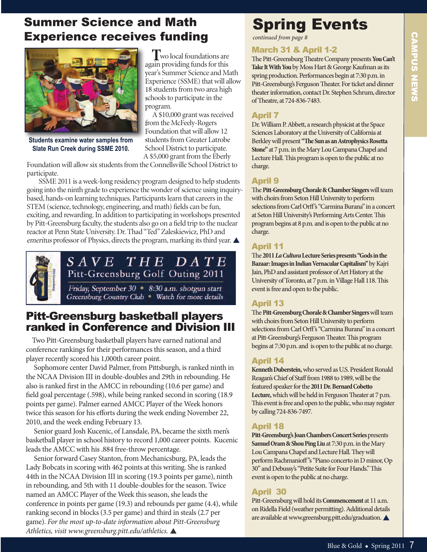## Summer Science and Math Experience receives funding



**Students examine water samples from Slate Run Creek during SSME 2010.**

**T**wo local foundations are again providing funds for this year's Summer Science and Math Experience (SSME) that will allow 18 students from two area high schools to participate in the program.

A \$10,000 grant was received from the McFeely-Rogers Foundation that will allow 12 students from Greater Latrobe School District to participate. A \$5,000 grant from the Eberly

Foundation will allow six students from the Connellsville School District to participate.

SSME 2011 is a week-long residency program designed to help students going into the ninth grade to experience the wonder of science using inquirybased, hands-on learning techniques. Participants learn that careers in the STEM (science, technology, engineering, and math) fields can be fun, exciting, and rewarding. In addition to participating in workshops presented by Pitt-Greensburg faculty, the students also go on a field trip to the nuclear reactor at Penn State University. Dr. Thad "Ted" Zaleskiewicz, PhD and emeritus professor of Physics, directs the program, marking its third year.



SAVE THE DATE Pitt-Greensburg Golf Outing 2011

Friday, September 30 • 8:30 a.m. shotgun start Greensburg Country Club • Watch for more details

### Pitt-Greensburg basketball players ranked in Conference and Division III

Two Pitt-Greensburg basketball players have earned national and conference rankings for their performances this season, and a third player recently scored his 1,000th career point.

Sophomore center David Palmer, from Pittsburgh, is ranked ninth in the NCAA Division III in double-doubles and 29th in rebounding. He also is ranked first in the AMCC in rebounding (10.6 per game) and field goal percentage (.598), while being ranked second in scoring (18.9 points per game). Palmer earned AMCC Player of the Week honors twice this season for his efforts during the week ending November 22, 2010, and the week ending February 13.

Senior guard Josh Kucenic, of Lansdale, PA, became the sixth men's basketball player in school history to record 1,000 career points. Kucenic leads the AMCC with his .884 free-throw percentage.

Senior forward Casey Stanton, from Mechanicsburg, PA, leads the Lady Bobcats in scoring with 462 points at this writing. She is ranked 44th in the NCAA Division III in scoring (19.3 points per game), ninth in rebounding, and 5th with 11 double-doubles for the season. Twice named an AMCC Player of the Week this season, she leads the conference in points per game (19.3) and rebounds per game (4.4), while ranking second in blocks (3.5 per game) and third in steals (2.7 per game). For the most up-to-date information about Pitt-Greensburg Athletics, visit www.greensburg.pitt.edu/athletics. △

# Spring Events

*continued from page 8*

#### March 31 & April 1-2

The Pitt-Greensburg Theatre Company presents You Can't **Take It With You**by Moss Hart & George Kaufman as its spring production. Performances begin at 7:30 p.m. in Pitt-Greensburg's Ferguson Theater. For ticket and dinner theater information, contact Dr. Stephen Schrum, director of Theatre, at 724-836-7483.

#### April 7

Dr. William P. Abbett, a research physicist at the Space Sciences Laboratory at the University of California at Berkley will present "The Sun as an Astrophysics Rosetta **Stone"** at 7 p.m. in the Mary Lou Campana Chapel and Lecture Hall. This program is open to the public at no charge.

#### April 9

e **Pitt-Greensburg Chorale & Chamber Singers** will team with choirs from Seton Hill University to perform selections from Carl Orff's "Carmina Burana" in a concert at Seton Hill University's Performing Arts Center. This program begins at 8 p.m. and is open to the public at no charge.

#### April 11

e **2011** *La Cultura***Lecture Series presents "Gods in the Bazaar: Images in Indian Vernacular Capitalism"**by Kajri Jain, PhD and assistant professor of Art History at the University of Toronto, at 7 p.m. in Village Hall 118. This event is free and open to the public.

#### April 13

e **Pitt-Greensburg Chorale & Chamber Singers** will team with choirs from Seton Hill University to perform selections from Carl Orff's "Carmina Burana" in a concert at Pitt-Greensburg's Ferguson Theater. This program begins at 7:30 p.m. and is open to the public at no charge.

#### April 14

**Kenneth Duberstein,**who served as U.S. President Ronald Reagan's Chief of Staff from 1988 to 1989, will be the featured speaker for the **2011 Dr. Bernard Cobetto**  Lecture, which will be held in Ferguson Theater at 7 p.m. This event is free and open to the public, who may register by calling 724-836-7497.

#### April 18

Pitt-Greensburg's Joan Chambers Concert Series presents **Samuel Oram & Shou Ping Liu**at 7:30 p.m. in the Mary Lou Campana Chapel and Lecture Hall. They will perform Rachmanioff"s "Piano concerto in D minor, Op 30" and Debussy's "Petite Suite for Four Hands." This event is open to the public at no charge.

#### April 30

Pitt-Greensburg will hold its **Commencement** at 11 a.m. on Ridella Field (weather permitting). Additional details are available at www.greensburg.pitt.edu/graduation.